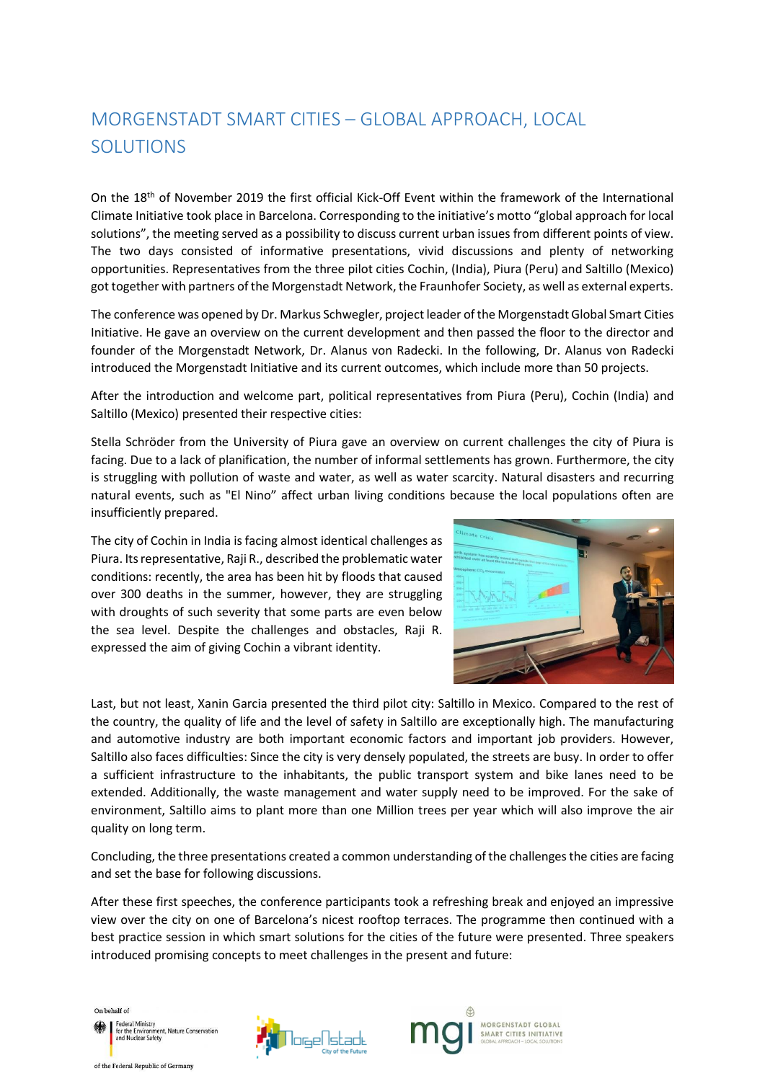## MORGENSTADT SMART CITIES – GLOBAL APPROACH, LOCAL SOLUTIONS

On the 18th of November 2019 the first official Kick-Off Event within the framework of the International Climate Initiative took place in Barcelona. Corresponding to the initiative's motto "global approach for local solutions", the meeting served as a possibility to discuss current urban issues from different points of view. The two days consisted of informative presentations, vivid discussions and plenty of networking opportunities. Representatives from the three pilot cities Cochin, (India), Piura (Peru) and Saltillo (Mexico) got together with partners of the Morgenstadt Network, the Fraunhofer Society, as well as external experts.

The conference was opened by Dr. Markus Schwegler, project leader of the Morgenstadt Global Smart Cities Initiative. He gave an overview on the current development and then passed the floor to the director and founder of the Morgenstadt Network, Dr. Alanus von Radecki. In the following, Dr. Alanus von Radecki introduced the Morgenstadt Initiative and its current outcomes, which include more than 50 projects.

After the introduction and welcome part, political representatives from Piura (Peru), Cochin (India) and Saltillo (Mexico) presented their respective cities:

Stella Schröder from the University of Piura gave an overview on current challenges the city of Piura is facing. Due to a lack of planification, the number of informal settlements has grown. Furthermore, the city is struggling with pollution of waste and water, as well as water scarcity. Natural disasters and recurring natural events, such as "El Nino" affect urban living conditions because the local populations often are insufficiently prepared.

The city of Cochin in India is facing almost identical challenges as Piura. Its representative, Raji R., described the problematic water conditions: recently, the area has been hit by floods that caused over 300 deaths in the summer, however, they are struggling with droughts of such severity that some parts are even below the sea level. Despite the challenges and obstacles, Raji R. expressed the aim of giving Cochin a vibrant identity.



Last, but not least, Xanin Garcia presented the third pilot city: Saltillo in Mexico. Compared to the rest of the country, the quality of life and the level of safety in Saltillo are exceptionally high. The manufacturing and automotive industry are both important economic factors and important job providers. However, Saltillo also faces difficulties: Since the city is very densely populated, the streets are busy. In order to offer a sufficient infrastructure to the inhabitants, the public transport system and bike lanes need to be extended. Additionally, the waste management and water supply need to be improved. For the sake of environment, Saltillo aims to plant more than one Million trees per year which will also improve the air quality on long term.

Concluding, the three presentations created a common understanding of the challenges the cities are facing and set the base for following discussions.

After these first speeches, the conference participants took a refreshing break and enjoyed an impressive view over the city on one of Barcelona's nicest rooftop terraces. The programme then continued with a best practice session in which smart solutions for the cities of the future were presented. Three speakers introduced promising concepts to meet challenges in the present and future:

On behalf of Federal Ministry<br>for the Environment, Nature Conservation<br>and Nuclear Safety





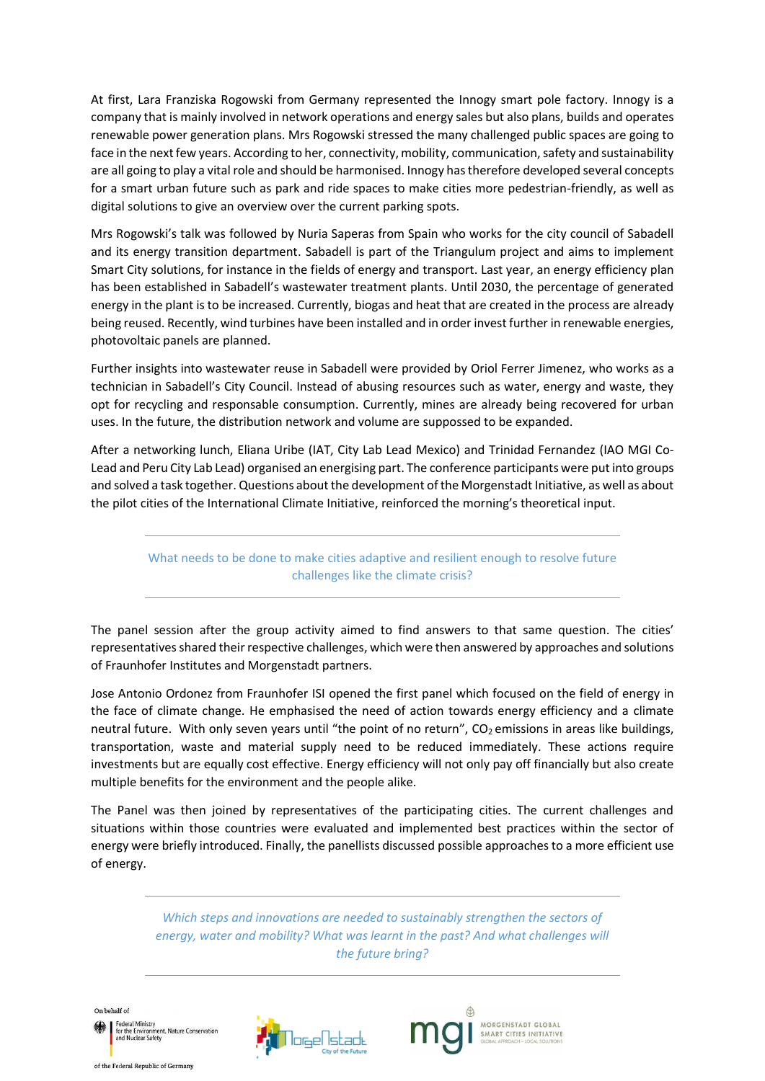At first, Lara Franziska Rogowski from Germany represented the Innogy smart pole factory. Innogy is a company that is mainly involved in network operations and energy sales but also plans, builds and operates renewable power generation plans. Mrs Rogowski stressed the many challenged public spaces are going to face in the next few years. According to her, connectivity, mobility, communication, safety and sustainability are all going to play a vital role and should be harmonised. Innogy has therefore developed several concepts for a smart urban future such as park and ride spaces to make cities more pedestrian-friendly, as well as digital solutions to give an overview over the current parking spots.

Mrs Rogowski's talk was followed by Nuria Saperas from Spain who works for the city council of Sabadell and its energy transition department. Sabadell is part of the Triangulum project and aims to implement Smart City solutions, for instance in the fields of energy and transport. Last year, an energy efficiency plan has been established in Sabadell's wastewater treatment plants. Until 2030, the percentage of generated energy in the plant is to be increased. Currently, biogas and heat that are created in the process are already being reused. Recently, wind turbines have been installed and in order invest further in renewable energies, photovoltaic panels are planned.

Further insights into wastewater reuse in Sabadell were provided by Oriol Ferrer Jimenez, who works as a technician in Sabadell's City Council. Instead of abusing resources such as water, energy and waste, they opt for recycling and responsable consumption. Currently, mines are already being recovered for urban uses. In the future, the distribution network and volume are suppossed to be expanded.

After a networking lunch, Eliana Uribe (IAT, City Lab Lead Mexico) and Trinidad Fernandez (IAO MGI Co-Lead and Peru City Lab Lead) organised an energising part. The conference participants were put into groups and solved a task together. Questions about the development of the Morgenstadt Initiative, as well as about the pilot cities of the International Climate Initiative, reinforced the morning's theoretical input.

What needs to be done to make cities adaptive and resilient enough to resolve future challenges like the climate crisis?

The panel session after the group activity aimed to find answers to that same question. The cities' representatives shared their respective challenges, which were then answered by approaches and solutions of Fraunhofer Institutes and Morgenstadt partners.

Jose Antonio Ordonez from Fraunhofer ISI opened the first panel which focused on the field of energy in the face of climate change. He emphasised the need of action towards energy efficiency and a climate neutral future. With only seven years until "the point of no return", CO<sub>2</sub> emissions in areas like buildings, transportation, waste and material supply need to be reduced immediately. These actions require investments but are equally cost effective. Energy efficiency will not only pay off financially but also create multiple benefits for the environment and the people alike.

The Panel was then joined by representatives of the participating cities. The current challenges and situations within those countries were evaluated and implemented best practices within the sector of energy were briefly introduced. Finally, the panellists discussed possible approachesto a more efficient use of energy.

> *Which steps and innovations are needed to sustainably strengthen the sectors of energy, water and mobility? What was learnt in the past? And what challenges will the future bring?*

On behalf of Federal Ministry<br>for the Environment, Nature Conservation<br>and Nuclear Safety